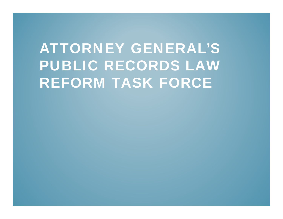# ATTORNEY GENERAL'S PUBLIC RECORDS LAW REFORM TASK FORCE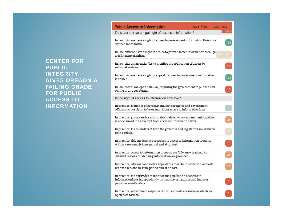CENTER FOR PUBLIC INTEGRITY GIVES OREGON A FAILING GRADE FOR PUBLIC ACCESS TO INFORMATION

| <b>Public Access to Information</b><br>GRADE: F(38)<br>RANK: 34th                                                                                                     |                |
|-----------------------------------------------------------------------------------------------------------------------------------------------------------------------|----------------|
| Do citizens have a legal right of access to information?                                                                                                              | <b>CLOSE X</b> |
| In law, citizens have a right of access to government information through a<br>defined mechanism.                                                                     | YES            |
| In law, citizens have a right of access to private sector information through MODERATE<br>a defined mechanism.                                                        |                |
| In law, there is an entity/ies to monitor the application of access to<br>information laws.                                                                           | <b>NO</b>      |
| In law, citizens have a right of appeal if access to government information<br>is denied.                                                                             | YES            |
| In law, there is an open data law, requiring the government to publish data<br>online in an open format.                                                              | <b>NO</b>      |
| Is the right of access to information effective?                                                                                                                      |                |
| In practice, branches of government, state agencies and government<br>officials do not claim to be exempt from access to information laws.                            | 75             |
| In practice, private sector information related to government information<br>is not claimed to be exempt from access to information laws.                             | 25             |
| In practice, the calendars of both the governor and legislators are available<br>to the public.                                                                       | ${\bf 50}$     |
| In practice, citizens receive responses to access to information requests<br>within a reasonable time period and at no cost.                                          | $\mathbf{0}$   |
| In practice, access to information requests are fully answered and/or<br>detailed reasons for denying information are provided.                                       | 25             |
| In practice, citizens can resolve appeals to access to information requests<br>within a reasonable time period and at no cost.                                        | 25             |
| In practice, the entity/ies to monitor the application of access to<br>information laws independently initiates investigations and imposes<br>penalties on offenders. | 0              |
| In practice, government responses to FOI requests are made available in<br>open data format.                                                                          | $\mathbf{0}$   |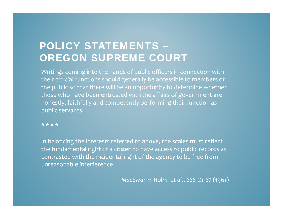# POLICY STATEMENTS – OREGON SUPREME COURT

Writings coming into the hands of public officers in connection with their official functions should generally be accessible to members of the public so that there will be an opportunity to determine whether those who have been entrusted with the affairs of government are honestly, faithfully and competently performing their function as public servants.

\*\*\*\*

In balancing the interests referred to above, the scales must reflect the fundamental right of a citizen to have access to public records as contrasted with the incidental right of the agency to be free from unreasonable interference.

*MacEwan v. Holm, et al.*, <sup>226</sup> Or <sup>27</sup> (1961)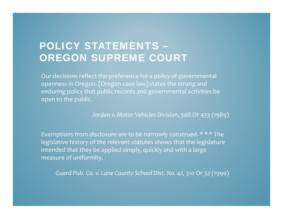#### POLICY STATEMENTS – OREGON SUPREME COURT

Our decisions reflect the preference for a policy of governmental openness in Oregon. [Oregon case law] states the strong and enduring policy that public records and governmental activities be open to the public.

*Jordan v. Motor Vehicles Division*, 308 Or 433 (1989)

Exemptions from disclosure are to be narrowly construed. \* \* \* The legislative history of the relevant statutes shows that the legislature intended that they be applied simply, quickly and with a large measure of uniformity.

*Guard Pub. Co. v. Lane County School Dist. No. 4J*, 310 Or 32 (1990)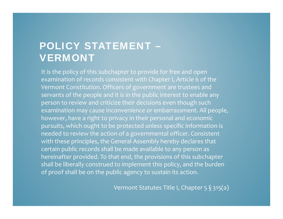#### POLICY STATEMENT – VERMONT

It is the policy of this subchapter to provide for free and open examination of records consistent with Chapter I, Article 6 of the Vermont Constitution. Officers of government are trustees and servants of the people and it is in the public interest to enable any person to review and criticize their decisions even though such examination may cause inconvenience or embarrassment. All people, however, have a right to privacy in their personal and economic pursuits, which ought to be protected unless specific information is needed to review the action of a governmental officer. Consistent with these principles, the General Assembly hereby declares that certain public records shall be made available to any person as hereinafter provided. To that end, the provisions of this subchapter shall be liberally construed to implement this policy, and the burden of proof shall be on the public agency to sustain its action.

Vermont Statutes Title I, Chapter 5 § 315(a)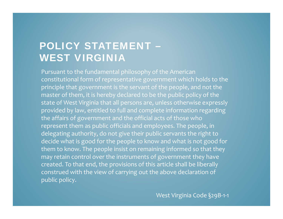# POLICY STATEMENT – WEST VIRGINIA

Pursuant to the fundamental philosophy of the American constitutional form of representative government which holds to the principle that government is the servant of the people, and not the master of them, it is hereby declared to be the public policy of the state of West Virginia that all persons are, unless otherwise expressly provided by law, entitled to full and complete information regarding the affairs of government and the official acts of those who represen<sup>t</sup> them as public officials and employees. The people, in delegating authority, do not give their public servants the right to decide what is good for the people to know and what is not good for them to know. The people insist on remaining informed so that they may retain control over the instruments of government they have created. To that end, the provisions of this article shall be liberally construed with the view of carrying out the above declaration of public policy.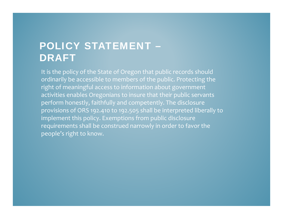# POLICY STATEMENT – DRAFT

It is the policy of the State of Oregon that public records should ordinarily be accessible to members of the public. Protecting the right of meaningful access to information about government activities enables Oregonians to insure that their public servants perform honestly, faithfully and competently. The disclosure provisions of ORS 192.410 to 192.505 shall be interpreted liberally to implement this policy. Exemptions from public disclosure requirements shall be construed narrowly in order to favor the people's right to know.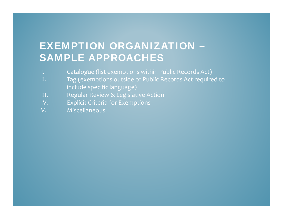# EXEMPTION ORGANIZATION – SAMPLE APPROACHES

- I. Catalogue (list exemptions within Public Records Act)
- II. Tag (exemptions outside of Public Records Act required to include specific language)
- III. Regular Review & Legislative Action
- IV. Explicit Criteria for Exemptions
- V. Miscellaneous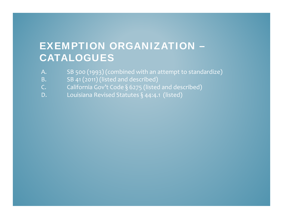# EXEMPTION ORGANIZATION – CATALOGUES

- A. SB 500 (1993) (combined with an attempt to standardize)
- B. SB <sup>41</sup> (2011) (listed and described)
- C.  $\qquad \qquad$  California Gov't Code § 6275 (listed and described)
- D. Louisiana Revised Statutes § 44:4.1 (listed)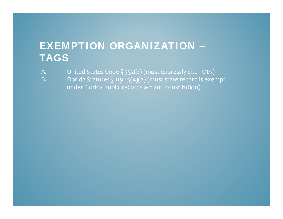#### EXEMPTION ORGANIZATION – TAGS

- A.  $\qquad$  United States Code § 552(b) (must expressly cite FOIA)
- B.  $\qquad \qquad$  Florida Statutes § 119.15(4)(a) (must state record is exempt under Florida public records act and constitution)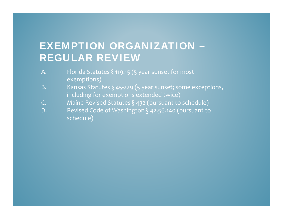# EXEMPTION ORGANIZATION – REGULAR REVIEW

- A.  $\qquad \qquad$  Florida Statutes § 119.15 (5 year sunset for most exemptions)
- B. Kansas Statutes § 45‐229 (5 year sunset; some exceptions, including for exemptions extended twice)
- C. Maine Revised Statutes § 432 (pursuant to schedule)
- D. Revised Code of Washington § 42.56.140 (pursuant to schedule)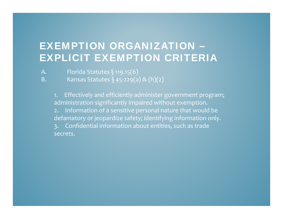# EXEMPTION ORGANIZATION – EXPLICIT EXEMPTION CRITERIA

- A. Florida Statutes  $\S$  119.15(6)
- B. Kansas Statutes § 45‐229(a) & (h)(2)

1. Effectively and efficiently administer government program; administration significantly impaired without exemption.

2. Information of a sensitive personal nature that would be defamatory or jeopardize safety; identifying information only.

3. Confidential information about entities, such as trade secrets.